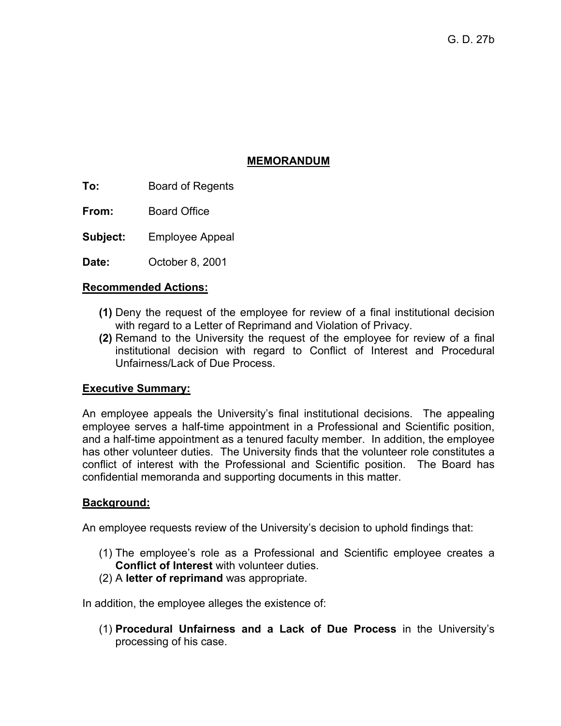## **MEMORANDUM**

**To:** Board of Regents

**From:** Board Office

**Subject:** Employee Appeal

**Date:** October 8, 2001

## **Recommended Actions:**

- **(1)** Deny the request of the employee for review of a final institutional decision with regard to a Letter of Reprimand and Violation of Privacy.
- **(2)** Remand to the University the request of the employee for review of a final institutional decision with regard to Conflict of Interest and Procedural Unfairness/Lack of Due Process.

## **Executive Summary:**

An employee appeals the University's final institutional decisions. The appealing employee serves a half-time appointment in a Professional and Scientific position, and a half-time appointment as a tenured faculty member. In addition, the employee has other volunteer duties. The University finds that the volunteer role constitutes a conflict of interest with the Professional and Scientific position. The Board has confidential memoranda and supporting documents in this matter.

## **Background:**

An employee requests review of the University's decision to uphold findings that:

- (1) The employee's role as a Professional and Scientific employee creates a **Conflict of Interest** with volunteer duties.
- (2) A **letter of reprimand** was appropriate.

In addition, the employee alleges the existence of:

(1) **Procedural Unfairness and a Lack of Due Process** in the University's processing of his case.